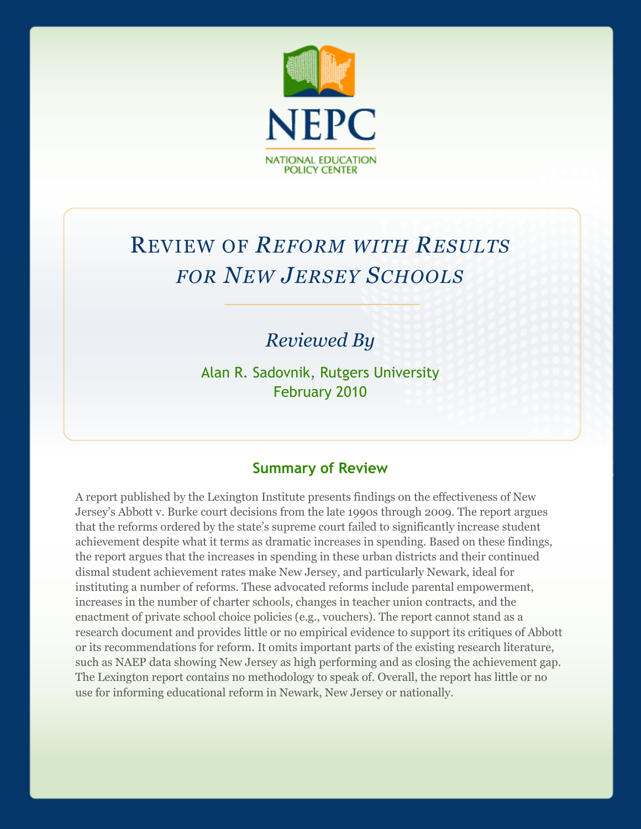

# REVIEW OF *REFORM WITH RESULTS FOR NEW JERSEY SCHOOLS*

# *Reviewed By*

Alan R. Sadovnik, Rutgers University February 2010

#### **Summary of Review**

A report published by the Lexington Institute presents findings on the effectiveness of New Jersey's Abbott v. Burke court decisions from the late 1990s through 2009. The report argues that the reforms ordered by the state's supreme court failed to significantly increase student achievement despite what it terms as dramatic increases in spending. Based on these findings, the report argues that the increases in spending in these urban districts and their continued dismal student achievement rates make New Jersey, and particularly Newark, ideal for instituting a number of reforms. These advocated reforms include parental empowerment, increases in the number of charter schools, changes in teacher union contracts, and the enactment of private school choice policies (e.g., vouchers). The report cannot stand as a research document and provides little or no empirical evidence to support its critiques of Abbott or its recommendations for reform. It omits important parts of the existing research literature, such as NAEP data showing New Jersey as high performing and as closing the achievement gap. The Lexington report contains no methodology to speak of. Overall, the report has little or no use for informing educational reform in Newark, New Jersey or nationally.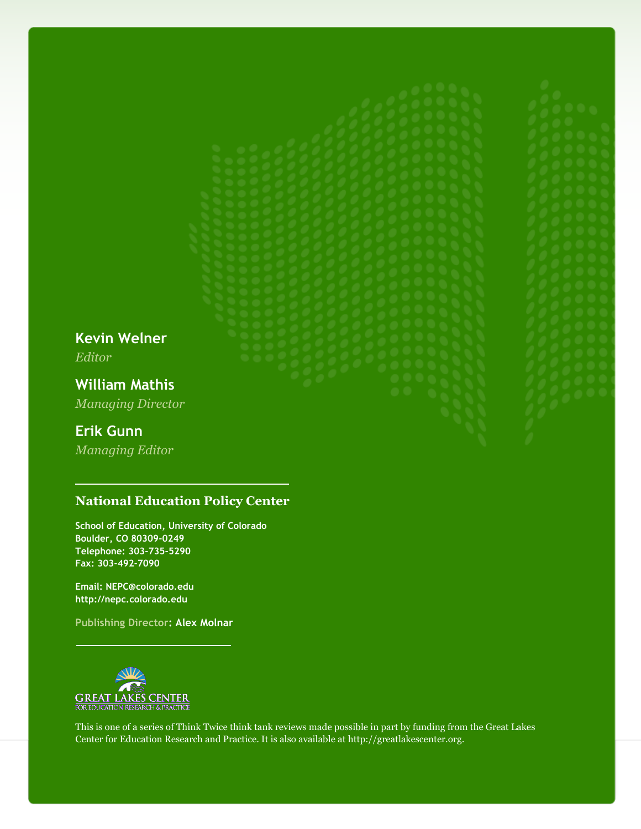**Kevin Welner** *Editor*

**William Mathis** *Managing Director*

#### **Erik Gunn**

*Managing Editor*

#### **National Education Policy Center**

**School of Education, University of Colorado Boulder, CO 80309-0249 Telephone: 303-735-5290 Fax: 303-492-7090**

**Email: NEPC@colorado.edu http://nepc.colorado.edu**

**Publishing Director: Alex Molnar**



This is one of a series of Think Twice think tank reviews made possible in part by funding from the Great Lakes Center for Education Research and Practice. It is also available at http://greatlakescenter.org.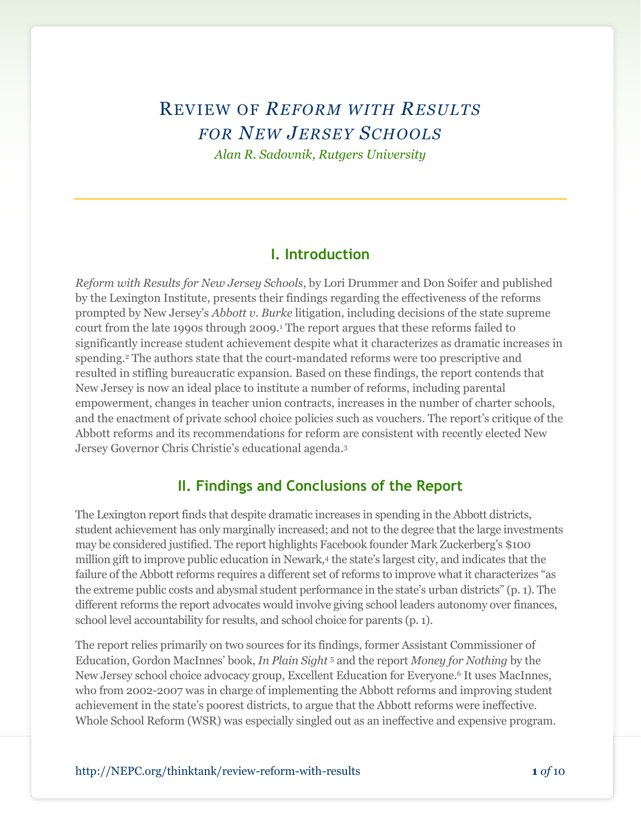# REVIEW OF *REFORM WITH RESULTS FOR NEW JERSEY SCHOOLS Alan R. Sadovnik, Rutgers University*

#### **I. Introduction**

*Reform with Results for New Jersey Schools*, by Lori Drummer and Don Soifer and published by the Lexington Institute, presents their findings regarding the effectiveness of the reforms prompted by New Jersey's *Abbott v. Burke* litigation, including decisions of the state supreme court from the late 1990s through 2009.<sup>1</sup> The report argues that these reforms failed to significantly increase student achievement despite what it characterizes as dramatic increases in spending.<sup>2</sup> The authors state that the court-mandated reforms were too prescriptive and resulted in stifling bureaucratic expansion. Based on these findings, the report contends that New Jersey is now an ideal place to institute a number of reforms, including parental empowerment, changes in teacher union contracts, increases in the number of charter schools, and the enactment of private school choice policies such as vouchers. The report's critique of the Abbott reforms and its recommendations for reform are consistent with recently elected New Jersey Governor Chris Christie's educational agenda. 3

#### **II. Findings and Conclusions of the Report**

The Lexington report finds that despite dramatic increases in spending in the Abbott districts, student achievement has only marginally increased; and not to the degree that the large investments may be considered justified. The report highlights Facebook founder Mark Zuckerberg's \$100 million gift to improve public education in Newark,<sup>4</sup> the state's largest city, and indicates that the failure of the Abbott reforms requires a different set of reforms to improve what it characterizes "as the extreme public costs and abysmal student performance in the state's urban districts" (p. 1). The different reforms the report advocates would involve giving school leaders autonomy over finances, school level accountability for results, and school choice for parents (p. 1).

The report relies primarily on two sources for its findings, former Assistant Commissioner of Education, Gordon MacInnes' book, *In Plain Sight* <sup>5</sup> and the report *Money for Nothing* by the New Jersey school choice advocacy group, Excellent Education for Everyone.<sup>6</sup> It uses MacInnes, who from 2002-2007 was in charge of implementing the Abbott reforms and improving student achievement in the state's poorest districts, to argue that the Abbott reforms were ineffective. Whole School Reform (WSR) was especially singled out as an ineffective and expensive program.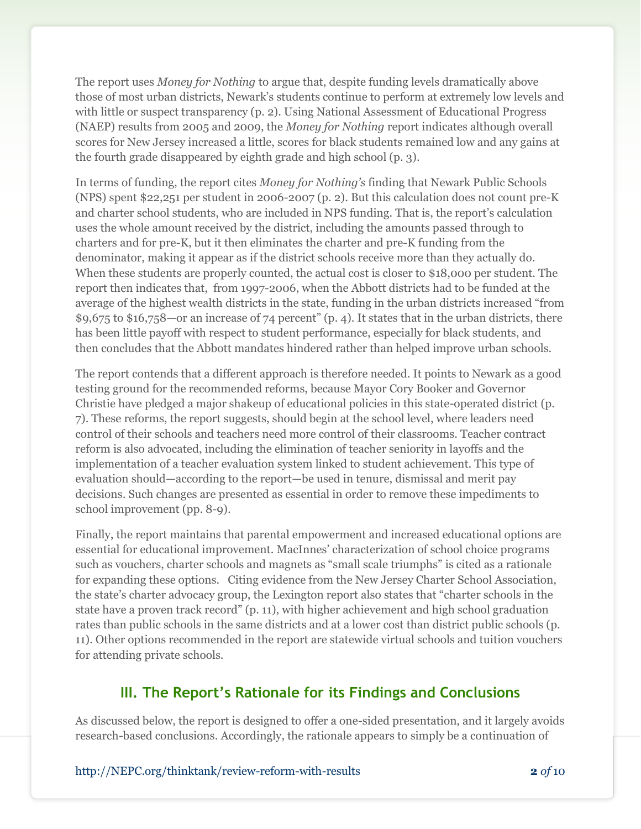The report uses *Money for Nothing* to argue that, despite funding levels dramatically above those of most urban districts, Newark's students continue to perform at extremely low levels and with little or suspect transparency (p. 2). Using National Assessment of Educational Progress (NAEP) results from 2005 and 2009, the *Money for Nothing* report indicates although overall scores for New Jersey increased a little, scores for black students remained low and any gains at the fourth grade disappeared by eighth grade and high school (p. 3).

In terms of funding, the report cites *Money for Nothing's* finding that Newark Public Schools (NPS) spent \$22,251 per student in 2006-2007 (p. 2). But this calculation does not count pre-K and charter school students, who are included in NPS funding. That is, the report's calculation uses the whole amount received by the district, including the amounts passed through to charters and for pre-K, but it then eliminates the charter and pre-K funding from the denominator, making it appear as if the district schools receive more than they actually do. When these students are properly counted, the actual cost is closer to \$18,000 per student. The report then indicates that, from 1997-2006, when the Abbott districts had to be funded at the average of the highest wealth districts in the state, funding in the urban districts increased "from \$9,675 to \$16,758—or an increase of 74 percent" (p. 4). It states that in the urban districts, there has been little payoff with respect to student performance, especially for black students, and then concludes that the Abbott mandates hindered rather than helped improve urban schools.

The report contends that a different approach is therefore needed. It points to Newark as a good testing ground for the recommended reforms, because Mayor Cory Booker and Governor Christie have pledged a major shakeup of educational policies in this state-operated district (p. 7). These reforms, the report suggests, should begin at the school level, where leaders need control of their schools and teachers need more control of their classrooms. Teacher contract reform is also advocated, including the elimination of teacher seniority in layoffs and the implementation of a teacher evaluation system linked to student achievement. This type of evaluation should—according to the report—be used in tenure, dismissal and merit pay decisions. Such changes are presented as essential in order to remove these impediments to school improvement (pp. 8-9).

Finally, the report maintains that parental empowerment and increased educational options are essential for educational improvement. MacInnes' characterization of school choice programs such as vouchers, charter schools and magnets as "small scale triumphs" is cited as a rationale for expanding these options. Citing evidence from the New Jersey Charter School Association, the state's charter advocacy group, the Lexington report also states that "charter schools in the state have a proven track record" (p. 11), with higher achievement and high school graduation rates than public schools in the same districts and at a lower cost than district public schools (p. 11). Other options recommended in the report are statewide virtual schools and tuition vouchers for attending private schools.

## **III. The Report's Rationale for its Findings and Conclusions**

As discussed below, the report is designed to offer a one-sided presentation, and it largely avoids research-based conclusions. Accordingly, the rationale appears to simply be a continuation of

http://NEPC.org/thinktank/review-reform-with-results **2** *of* 10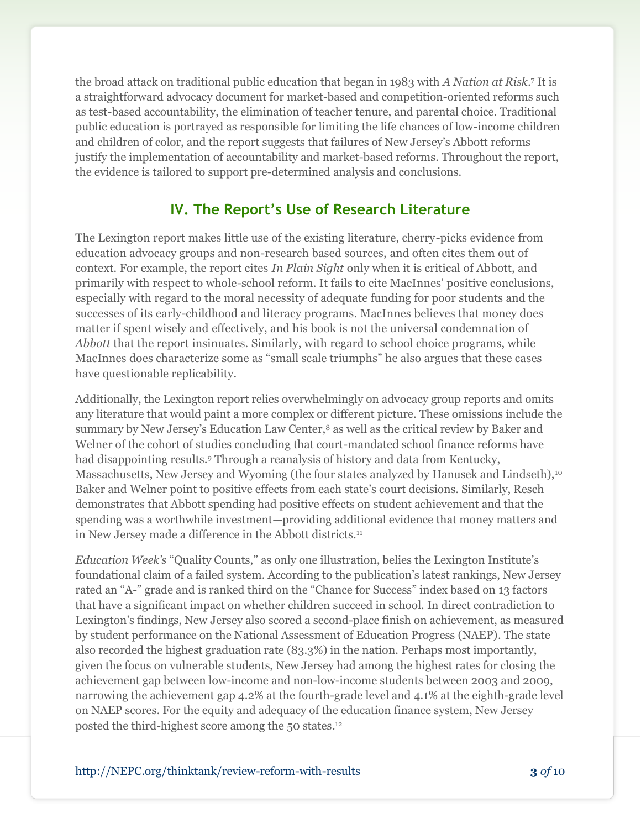the broad attack on traditional public education that began in 1983 with *A Nation at Risk*. <sup>7</sup> It is a straightforward advocacy document for market-based and competition-oriented reforms such as test-based accountability, the elimination of teacher tenure, and parental choice. Traditional public education is portrayed as responsible for limiting the life chances of low-income children and children of color, and the report suggests that failures of New Jersey's Abbott reforms justify the implementation of accountability and market-based reforms. Throughout the report, the evidence is tailored to support pre-determined analysis and conclusions.

## **IV. The Report's Use of Research Literature**

The Lexington report makes little use of the existing literature, cherry-picks evidence from education advocacy groups and non-research based sources, and often cites them out of context. For example, the report cites *In Plain Sight* only when it is critical of Abbott, and primarily with respect to whole-school reform. It fails to cite MacInnes' positive conclusions, especially with regard to the moral necessity of adequate funding for poor students and the successes of its early-childhood and literacy programs. MacInnes believes that money does matter if spent wisely and effectively, and his book is not the universal condemnation of *Abbott* that the report insinuates. Similarly, with regard to school choice programs, while MacInnes does characterize some as "small scale triumphs" he also argues that these cases have questionable replicability.

Additionally, the Lexington report relies overwhelmingly on advocacy group reports and omits any literature that would paint a more complex or different picture. These omissions include the summary by New Jersey's Education Law Center,<sup>8</sup> as well as the critical review by Baker and Welner of the cohort of studies concluding that court-mandated school finance reforms have had disappointing results.<sup>9</sup> Through a reanalysis of history and data from Kentucky, Massachusetts, New Jersey and Wyoming (the four states analyzed by Hanusek and Lindseth),<sup>10</sup> Baker and Welner point to positive effects from each state's court decisions. Similarly, Resch demonstrates that Abbott spending had positive effects on student achievement and that the spending was a worthwhile investment—providing additional evidence that money matters and in New Jersey made a difference in the Abbott districts.<sup>11</sup>

*Education Week's* "Quality Counts," as only one illustration, belies the Lexington Institute's foundational claim of a failed system. According to the publication's latest rankings, New Jersey rated an "A-" grade and is ranked third on the "Chance for Success" index based on 13 factors that have a significant impact on whether children succeed in school. In direct contradiction to Lexington's findings, New Jersey also scored a second-place finish on achievement, as measured by student performance on the National Assessment of Education Progress (NAEP). The state also recorded the highest graduation rate (83.3%) in the nation. Perhaps most importantly, given the focus on vulnerable students, New Jersey had among the highest rates for closing the achievement gap between low-income and non-low-income students between 2003 and 2009, narrowing the achievement gap 4.2% at the fourth-grade level and 4.1% at the eighth-grade level on NAEP scores. For the equity and adequacy of the education finance system, New Jersey posted the third-highest score among the 50 states. 12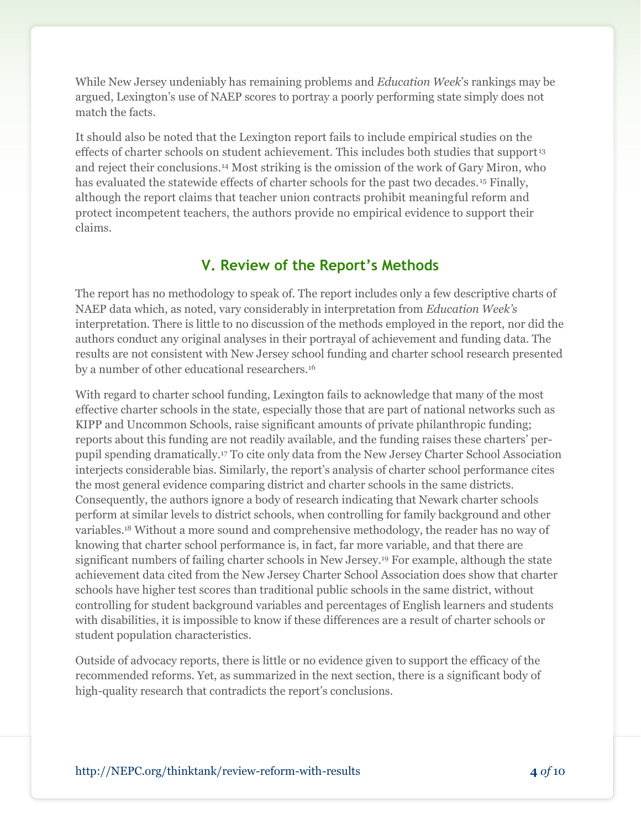While New Jersey undeniably has remaining problems and *Education Week*'s rankings may be argued, Lexington's use of NAEP scores to portray a poorly performing state simply does not match the facts.

It should also be noted that the Lexington report fails to include empirical studies on the effects of charter schools on student achievement. This includes both studies that support<sup>13</sup> and reject their conclusions.<sup>14</sup> Most striking is the omission of the work of Gary Miron, who has evaluated the statewide effects of charter schools for the past two decades. <sup>15</sup> Finally, although the report claims that teacher union contracts prohibit meaningful reform and protect incompetent teachers, the authors provide no empirical evidence to support their claims.

#### **V. Review of the Report's Methods**

The report has no methodology to speak of. The report includes only a few descriptive charts of NAEP data which, as noted, vary considerably in interpretation from *Education Week's* interpretation. There is little to no discussion of the methods employed in the report, nor did the authors conduct any original analyses in their portrayal of achievement and funding data. The results are not consistent with New Jersey school funding and charter school research presented by a number of other educational researchers.<sup>16</sup>

With regard to charter school funding, Lexington fails to acknowledge that many of the most effective charter schools in the state, especially those that are part of national networks such as KIPP and Uncommon Schools, raise significant amounts of private philanthropic funding; reports about this funding are not readily available, and the funding raises these charters' perpupil spending dramatically.<sup>17</sup> To cite only data from the New Jersey Charter School Association interjects considerable bias. Similarly, the report's analysis of charter school performance cites the most general evidence comparing district and charter schools in the same districts. Consequently, the authors ignore a body of research indicating that Newark charter schools perform at similar levels to district schools, when controlling for family background and other variables.<sup>18</sup> Without a more sound and comprehensive methodology, the reader has no way of knowing that charter school performance is, in fact, far more variable, and that there are significant numbers of failing charter schools in New Jersey.<sup>19</sup> For example, although the state achievement data cited from the New Jersey Charter School Association does show that charter schools have higher test scores than traditional public schools in the same district, without controlling for student background variables and percentages of English learners and students with disabilities, it is impossible to know if these differences are a result of charter schools or student population characteristics.

Outside of advocacy reports, there is little or no evidence given to support the efficacy of the recommended reforms. Yet, as summarized in the next section, there is a significant body of high-quality research that contradicts the report's conclusions.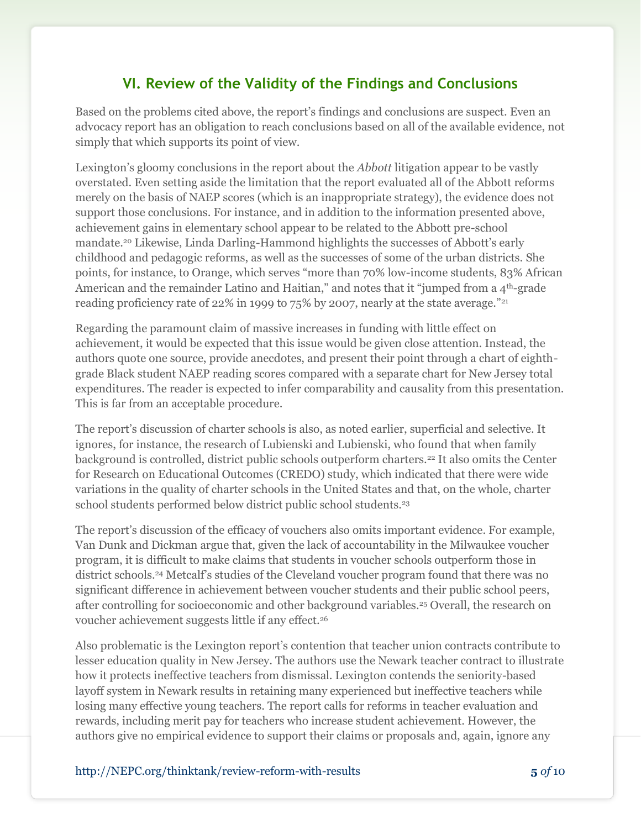# **VI. Review of the Validity of the Findings and Conclusions**

Based on the problems cited above, the report's findings and conclusions are suspect. Even an advocacy report has an obligation to reach conclusions based on all of the available evidence, not simply that which supports its point of view.

Lexington's gloomy conclusions in the report about the *Abbott* litigation appear to be vastly overstated. Even setting aside the limitation that the report evaluated all of the Abbott reforms merely on the basis of NAEP scores (which is an inappropriate strategy), the evidence does not support those conclusions. For instance, and in addition to the information presented above, achievement gains in elementary school appear to be related to the Abbott pre-school mandate.<sup>20</sup> Likewise, Linda Darling-Hammond highlights the successes of Abbott's early childhood and pedagogic reforms, as well as the successes of some of the urban districts. She points, for instance, to Orange, which serves "more than 70% low-income students, 83% African American and the remainder Latino and Haitian," and notes that it "jumped from a 4<sup>th</sup>-grade reading proficiency rate of 22% in 1999 to 75% by 2007, nearly at the state average."<sup>21</sup>

Regarding the paramount claim of massive increases in funding with little effect on achievement, it would be expected that this issue would be given close attention. Instead, the authors quote one source, provide anecdotes, and present their point through a chart of eighthgrade Black student NAEP reading scores compared with a separate chart for New Jersey total expenditures. The reader is expected to infer comparability and causality from this presentation. This is far from an acceptable procedure.

The report's discussion of charter schools is also, as noted earlier, superficial and selective. It ignores, for instance, the research of Lubienski and Lubienski, who found that when family background is controlled, district public schools outperform charters.<sup>22</sup> It also omits the Center for Research on Educational Outcomes (CREDO) study, which indicated that there were wide variations in the quality of charter schools in the United States and that, on the whole, charter school students performed below district public school students.<sup>23</sup>

The report's discussion of the efficacy of vouchers also omits important evidence. For example, Van Dunk and Dickman argue that, given the lack of accountability in the Milwaukee voucher program, it is difficult to make claims that students in voucher schools outperform those in district schools.<sup>24</sup> Metcalf's studies of the Cleveland voucher program found that there was no significant difference in achievement between voucher students and their public school peers, after controlling for socioeconomic and other background variables.<sup>25</sup> Overall, the research on voucher achievement suggests little if any effect.<sup>26</sup>

Also problematic is the Lexington report's contention that teacher union contracts contribute to lesser education quality in New Jersey. The authors use the Newark teacher contract to illustrate how it protects ineffective teachers from dismissal. Lexington contends the seniority-based layoff system in Newark results in retaining many experienced but ineffective teachers while losing many effective young teachers. The report calls for reforms in teacher evaluation and rewards, including merit pay for teachers who increase student achievement. However, the authors give no empirical evidence to support their claims or proposals and, again, ignore any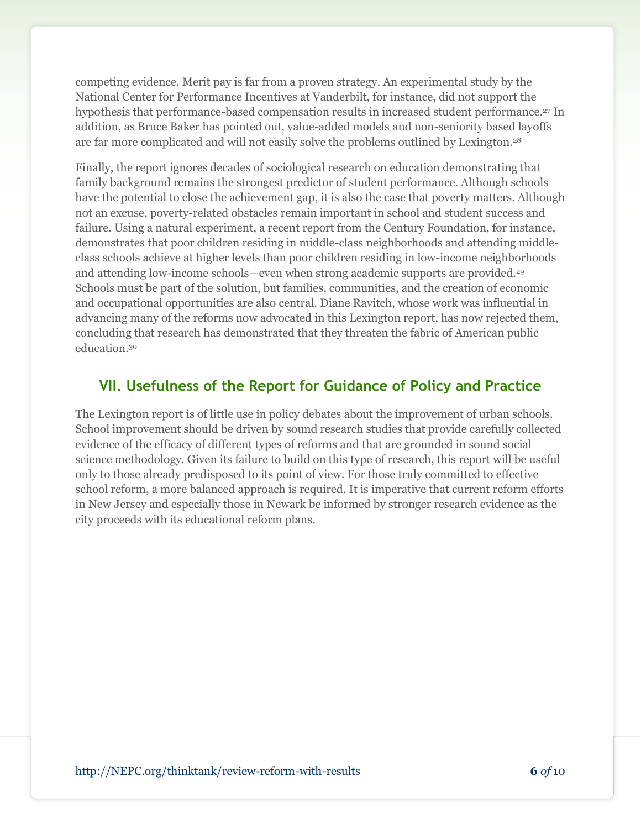competing evidence. Merit pay is far from a proven strategy. An experimental study by the National Center for Performance Incentives at Vanderbilt, for instance, did not support the hypothesis that performance-based compensation results in increased student performance.<sup>27</sup> In addition, as Bruce Baker has pointed out, value-added models and non-seniority based layoffs are far more complicated and will not easily solve the problems outlined by Lexington.<sup>28</sup>

Finally, the report ignores decades of sociological research on education demonstrating that family background remains the strongest predictor of student performance. Although schools have the potential to close the achievement gap, it is also the case that poverty matters. Although not an excuse, poverty-related obstacles remain important in school and student success and failure. Using a natural experiment, a recent report from the Century Foundation, for instance, demonstrates that poor children residing in middle-class neighborhoods and attending middleclass schools achieve at higher levels than poor children residing in low-income neighborhoods and attending low-income schools—even when strong academic supports are provided.<sup>29</sup> Schools must be part of the solution, but families, communities, and the creation of economic and occupational opportunities are also central. Diane Ravitch, whose work was influential in advancing many of the reforms now advocated in this Lexington report, has now rejected them, concluding that research has demonstrated that they threaten the fabric of American public education.<sup>30</sup>

## **VII. Usefulness of the Report for Guidance of Policy and Practice**

The Lexington report is of little use in policy debates about the improvement of urban schools. School improvement should be driven by sound research studies that provide carefully collected evidence of the efficacy of different types of reforms and that are grounded in sound social science methodology. Given its failure to build on this type of research, this report will be useful only to those already predisposed to its point of view. For those truly committed to effective school reform, a more balanced approach is required. It is imperative that current reform efforts in New Jersey and especially those in Newark be informed by stronger research evidence as the city proceeds with its educational reform plans.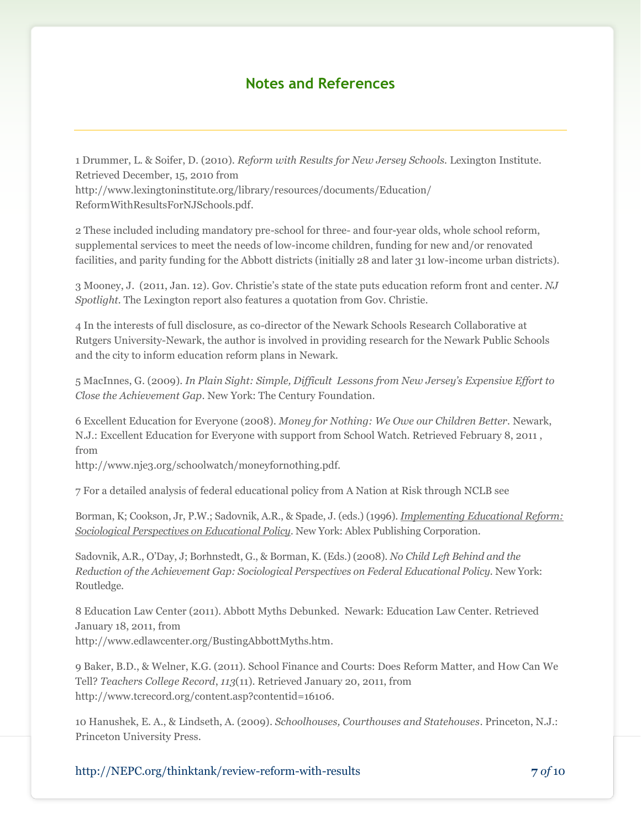#### **Notes and References**

1 Drummer, L. & Soifer, D. (2010). *Reform with Results for New Jersey Schools.* Lexington Institute. Retrieved December, 15, 2010 from http://www.lexingtoninstitute.org/library/resources/documents/Education/ ReformWithResultsForNJSchools.pdf.

2 These included including mandatory pre-school for three- and four-year olds, whole school reform, supplemental services to meet the needs of low-income children, funding for new and/or renovated facilities, and parity funding for the Abbott districts (initially 28 and later 31 low-income urban districts).

3 Mooney, J. (2011, Jan. 12). Gov. Christie's state of the state puts education reform front and center. *NJ Spotlight.* The Lexington report also features a quotation from Gov. Christie.

4 In the interests of full disclosure, as co-director of the Newark Schools Research Collaborative at Rutgers University-Newark, the author is involved in providing research for the Newark Public Schools and the city to inform education reform plans in Newark.

5 MacInnes, G. (2009). *In Plain Sight: Simple, Difficult Lessons from New Jersey's Expensive Effort to Close the Achievement Gap*. New York: The Century Foundation.

6 Excellent Education for Everyone (2008). *Money for Nothing: We Owe our Children Better.* Newark, N.J.: Excellent Education for Everyone with support from School Watch. Retrieved February 8, 2011 , from

http://www.nje3.org/schoolwatch/moneyfornothing.pdf.

7 For a detailed analysis of federal educational policy from A Nation at Risk through NCLB see

Borman, K; Cookson, Jr, P.W.; Sadovnik, A.R., & Spade, J. (eds.) (1996). *Implementing Educational Reform: Sociological Perspectives on Educational Policy*. New York: Ablex Publishing Corporation.

Sadovnik, A.R., O'Day, J; Borhnstedt, G., & Borman, K. (Eds.) (2008). *No Child Left Behind and the Reduction of the Achievement Gap: Sociological Perspectives on Federal Educational Policy.* New York: Routledge.

8 Education Law Center (2011). Abbott Myths Debunked. Newark: Education Law Center. Retrieved January 18, 2011, from http://www.edlawcenter.org/BustingAbbottMyths.htm.

9 Baker, B.D., & Welner, K.G. (2011). School Finance and Courts: Does Reform Matter, and How Can We Tell? *Teachers College Record*, *113*(11). Retrieved January 20, 2011, from http://www.tcrecord.org/content.asp?contentid=16106.

10 Hanushek, E. A., & Lindseth, A. (2009). *Schoolhouses, Courthouses and Statehouses*. Princeton, N.J.: Princeton University Press.

http://NEPC.org/thinktank/review-reform-with-results **7** *of* 10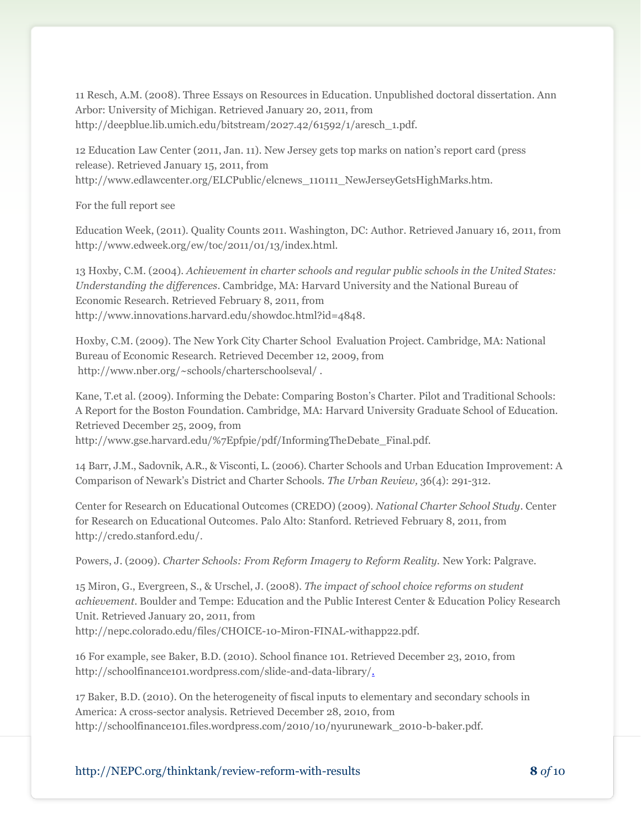11 Resch, A.M. (2008). Three Essays on Resources in Education. Unpublished doctoral dissertation. Ann Arbor: University of Michigan. Retrieved January 20, 2011, from http://deepblue.lib.umich.edu/bitstream/2027.42/61592/1/aresch\_1.pdf.

12 Education Law Center (2011, Jan. 11). New Jersey gets top marks on nation's report card (press release). Retrieved January 15, 2011, from http://www.edlawcenter.org/ELCPublic/elcnews\_110111\_NewJerseyGetsHighMarks.htm.

For the full report see

Education Week, (2011). Quality Counts 2011. Washington, DC: Author. Retrieved January 16, 2011, from http://www.edweek.org/ew/toc/2011/01/13/index.html.

13 Hoxby, C.M. (2004). *Achievement in charter schools and regular public schools in the United States: Understanding the differences*. Cambridge, MA: Harvard University and the National Bureau of Economic Research. Retrieved February 8, 2011, from http://www.innovations.harvard.edu/showdoc.html?id=4848.

Hoxby, C.M. (2009). The New York City Charter School Evaluation Project. Cambridge, MA: National Bureau of Economic Research. Retrieved December 12, 2009, from http://www.nber.org/~schools/charterschoolseval/ .

Kane, T.et al. (2009). Informing the Debate: Comparing Boston's Charter. Pilot and Traditional Schools: A Report for the Boston Foundation. Cambridge, MA: Harvard University Graduate School of Education. Retrieved December 25, 2009, from

http://www.gse.harvard.edu/%7Epfpie/pdf/InformingTheDebate\_Final.pdf.

14 Barr, J.M., Sadovnik, A.R., & Visconti, L. (2006). Charter Schools and Urban Education Improvement: A Comparison of Newark's District and Charter Schools. *The Urban Review,* 36(4): 291-312.

Center for Research on Educational Outcomes (CREDO) (2009). *National Charter School Study*. Center for Research on Educational Outcomes. Palo Alto: Stanford. Retrieved February 8, 2011, from http://credo.stanford.edu/.

Powers, J. (2009). *Charter Schools: From Reform Imagery to Reform Reality.* New York: Palgrave.

15 Miron, G., Evergreen, S., & Urschel, J. (2008). *The impact of school choice reforms on student achievement*. Boulder and Tempe: Education and the Public Interest Center & Education Policy Research Unit. Retrieved January 20, 2011, from http://nepc.colorado.edu/files/CHOICE-10-Miron-FINAL-withapp22.pdf.

16 For example, see Baker, B.D. (2010). School finance 101. Retrieved December 23, 2010, from http://schoolfinance101.wordpress.com/slide-and-data-library/.

17 Baker, B.D. (2010). On the heterogeneity of fiscal inputs to elementary and secondary schools in America: A cross-sector analysis. Retrieved December 28, 2010, from http://schoolfinance101.files.wordpress.com/2010/10/nyurunewark\_2010-b-baker.pdf.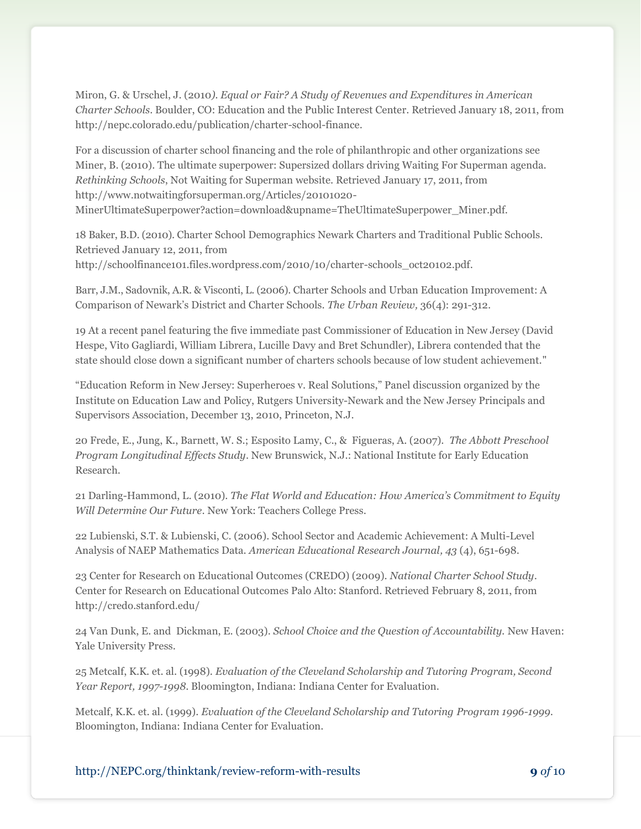Miron, G. & Urschel, J. (2010*). Equal or Fair? A Study of Revenues and Expenditures in American Charter Schools*. Boulder, CO: Education and the Public Interest Center. Retrieved January 18, 2011, from http://nepc.colorado.edu/publication/charter-school-finance.

For a discussion of charter school financing and the role of philanthropic and other organizations see Miner, B. (2010). The ultimate superpower: Supersized dollars driving Waiting For Superman agenda. *Rethinking Schools*, Not Waiting for Superman website. Retrieved January 17, 2011, from http://www.notwaitingforsuperman.org/Articles/20101020- MinerUltimateSuperpower?action=download&upname=TheUltimateSuperpower\_Miner.pdf.

18 Baker, B.D. (2010). Charter School Demographics Newark Charters and Traditional Public Schools. Retrieved January 12, 2011, from http://schoolfinance101.files.wordpress.com/2010/10/charter-schools\_oct20102.pdf.

Barr, J.M., Sadovnik, A.R. & Visconti, L. (2006). Charter Schools and Urban Education Improvement: A Comparison of Newark's District and Charter Schools. *The Urban Review,* 36(4): 291-312.

19 At a recent panel featuring the five immediate past Commissioner of Education in New Jersey (David Hespe, Vito Gagliardi, William Librera, Lucille Davy and Bret Schundler), Librera contended that the state should close down a significant number of charters schools because of low student achievement."

"Education Reform in New Jersey: Superheroes v. Real Solutions," Panel discussion organized by the Institute on Education Law and Policy, Rutgers University-Newark and the New Jersey Principals and Supervisors Association, December 13, 2010, Princeton, N.J.

20 Frede, E., Jung, K., Barnett, W. S.; Esposito Lamy, C., & Figueras, A. (2007). *The Abbott Preschool Program Longitudinal Effects Study*. New Brunswick, N.J.: National Institute for Early Education Research.

21 Darling-Hammond, L. (2010). *The Flat World and Education: How America's Commitment to Equity Will Determine Our Future*. New York: Teachers College Press.

22 Lubienski, S.T. & Lubienski, C. (2006). School Sector and Academic Achievement: A Multi-Level Analysis of NAEP Mathematics Data. *American Educational Research Journal, 43* (4), 651-698.

23 Center for Research on Educational Outcomes (CREDO) (2009). *National Charter School Study*. Center for Research on Educational Outcomes Palo Alto: Stanford. Retrieved February 8, 2011, from http://credo.stanford.edu/

24 Van Dunk, E. and Dickman, E. (2003). *School Choice and the Question of Accountability.* New Haven: Yale University Press.

25 Metcalf, K.K. et. al. (1998). *Evaluation of the Cleveland Scholarship and Tutoring Program, Second Year Report, 1997-1998*. Bloomington, Indiana: Indiana Center for Evaluation.

Metcalf, K.K. et. al. (1999). *Evaluation of the Cleveland Scholarship and Tutoring Program 1996-1999*. Bloomington, Indiana: Indiana Center for Evaluation.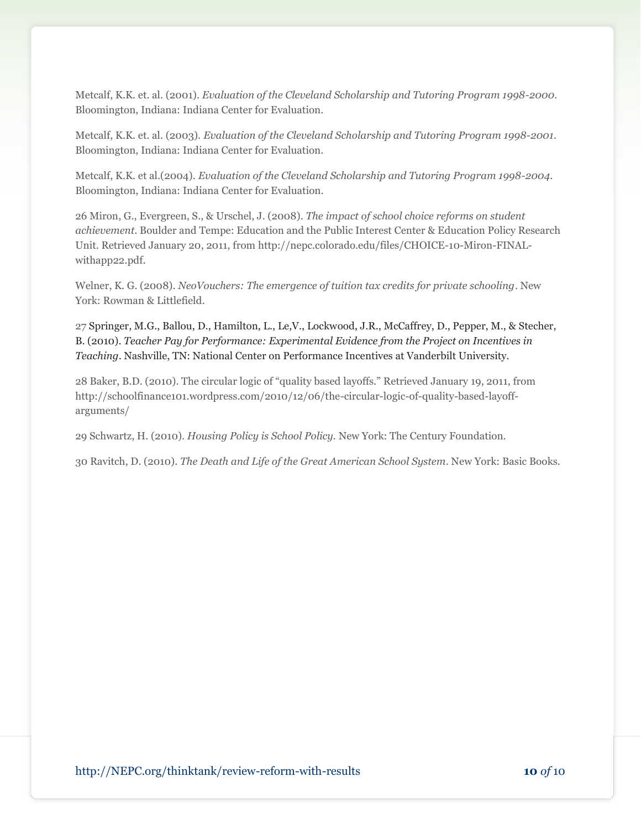Metcalf, K.K. et. al. (2001). *Evaluation of the Cleveland Scholarship and Tutoring Program 1998-2000.* Bloomington, Indiana: Indiana Center for Evaluation.

Metcalf, K.K. et. al. (2003). *Evaluation of the Cleveland Scholarship and Tutoring Program 1998-2001*. Bloomington, Indiana: Indiana Center for Evaluation.

Metcalf, K.K. et al.(2004). *Evaluation of the Cleveland Scholarship and Tutoring Program 1998-2004*. Bloomington, Indiana: Indiana Center for Evaluation.

26 Miron, G., Evergreen, S., & Urschel, J. (2008). *The impact of school choice reforms on student achievement*. Boulder and Tempe: Education and the Public Interest Center & Education Policy Research Unit. Retrieved January 20, 2011, from http://nepc.colorado.edu/files/CHOICE-10-Miron-FINALwithapp22.pdf.

Welner, K. G. (2008). *NeoVouchers: The emergence of tuition tax credits for private schooling*. New York: Rowman & Littlefield.

27 Springer, M.G., Ballou, D., Hamilton, L., Le,V., Lockwood, J.R., McCaffrey, D., Pepper, M., & Stecher, B. (2010). *Teacher Pay for Performance: Experimental Evidence from the Project on Incentives in Teaching*. Nashville, TN: National Center on Performance Incentives at Vanderbilt University.

28 Baker, B.D. (2010). The circular logic of "quality based layoffs." Retrieved January 19, 2011, from http://schoolfinance101.wordpress.com/2010/12/06/the-circular-logic-of-quality-based-layoffarguments/

29 Schwartz, H. (2010). *Housing Policy is School Policy.* New York: The Century Foundation.

30 Ravitch, D. (2010). *The Death and Life of the Great American School System*. New York: Basic Books.